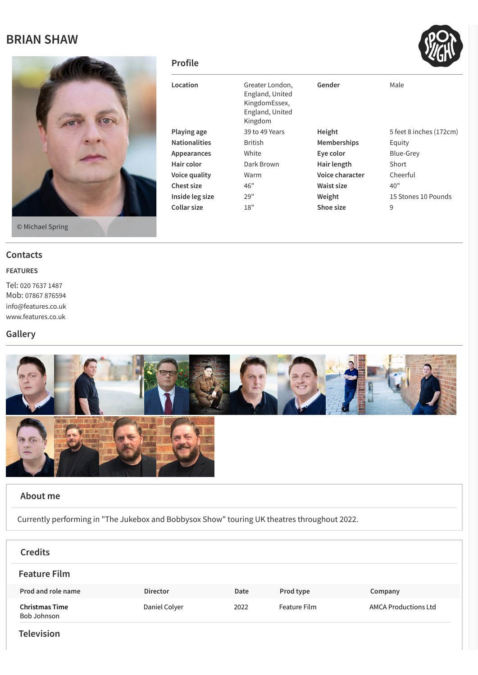## **BRIAN SHAW**



© Michael Spring

### **Contacts**

#### **FEATURES**

Tel: 020 7637 [1487](tel:020 7637 1487) Mob: 07867 [876594](tel:07867 876594) [info@features.co.uk](mailto:info@features.co.uk) [www.features.co.uk](http://www.features.co.uk/)

## **Gallery**



#### **About me**

Currently performing in "The Jukebox and Bobbysox Show" touring UK theatres throughout 2022.

| <b>Credits</b>                       |                 |      |              |                             |
|--------------------------------------|-----------------|------|--------------|-----------------------------|
| <b>Feature Film</b>                  |                 |      |              |                             |
| Prod and role name                   | <b>Director</b> | Date | Prod type    | Company                     |
| <b>Christmas Time</b><br>Bob Johnson | Daniel Colyer   | 2022 | Feature Film | <b>AMCA Productions Ltd</b> |
|                                      |                 |      |              |                             |

#### **Television**

#### **Profile**

| Location             | Greater London,<br>England, United<br>KingdomEssex,<br>England, United<br>Kingdom | Gender             | Male                    |
|----------------------|-----------------------------------------------------------------------------------|--------------------|-------------------------|
| Playing age          | 39 to 49 Years                                                                    | Height             | 5 feet 8 inches (172cm) |
| <b>Nationalities</b> | <b>British</b>                                                                    | <b>Memberships</b> | Equity                  |
| Appearances          | White                                                                             | Eye color          | Blue-Grey               |
| Hair color           | Dark Brown                                                                        | Hair length        | Short                   |
| Voice quality        | Warm                                                                              | Voice character    | Cheerful                |
| Chest size           | 46"                                                                               | Waist size         | 40"                     |
| Inside leg size      | 29"                                                                               | Weight             | 15 Stones 10 Pounds     |
| Collar size          | 18"                                                                               | Shoe size          | 9                       |
|                      |                                                                                   |                    |                         |

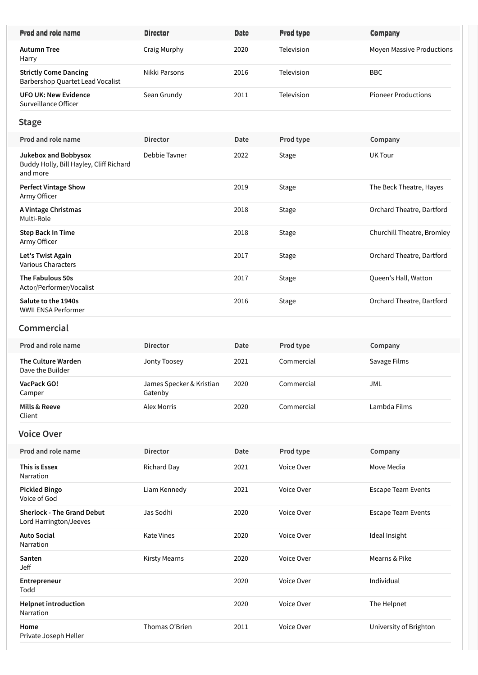| Prod and role name                                                                 | <b>Director</b>                     | Date | Prod type  | Company                          |
|------------------------------------------------------------------------------------|-------------------------------------|------|------------|----------------------------------|
| <b>Autumn Tree</b><br>Harry                                                        | Craig Murphy                        | 2020 | Television | <b>Moyen Massive Productions</b> |
| <b>Strictly Come Dancing</b><br>Barbershop Quartet Lead Vocalist                   | Nikki Parsons                       | 2016 | Television | <b>BBC</b>                       |
| <b>UFO UK: New Evidence</b><br>Surveillance Officer                                | Sean Grundy                         | 2011 | Television | <b>Pioneer Productions</b>       |
| <b>Stage</b>                                                                       |                                     |      |            |                                  |
| Prod and role name                                                                 | <b>Director</b>                     | Date | Prod type  | Company                          |
| <b>Jukebox and Bobbysox</b><br>Buddy Holly, Bill Hayley, Cliff Richard<br>and more | Debbie Tavner                       | 2022 | Stage      | <b>UK Tour</b>                   |
| <b>Perfect Vintage Show</b><br>Army Officer                                        |                                     | 2019 | Stage      | The Beck Theatre, Hayes          |
| A Vintage Christmas<br>Multi-Role                                                  |                                     | 2018 | Stage      | Orchard Theatre, Dartford        |
| <b>Step Back In Time</b><br>Army Officer                                           |                                     | 2018 | Stage      | Churchill Theatre, Bromley       |
| Let's Twist Again<br><b>Various Characters</b>                                     |                                     | 2017 | Stage      | Orchard Theatre, Dartford        |
| The Fabulous 50s<br>Actor/Performer/Vocalist                                       |                                     | 2017 | Stage      | Queen's Hall, Watton             |
| Salute to the 1940s<br>WWII ENSA Performer                                         |                                     | 2016 | Stage      | Orchard Theatre, Dartford        |
| Commercial                                                                         |                                     |      |            |                                  |
| Prod and role name                                                                 | <b>Director</b>                     | Date | Prod type  | Company                          |
| <b>The Culture Warden</b><br>Dave the Builder                                      | Jonty Toosey                        | 2021 | Commercial | Savage Films                     |
| VacPack GO!<br>Camper                                                              | James Specker & Kristian<br>Gatenby | 2020 | Commercial | JML                              |
| Mills & Reeve<br>Client                                                            | <b>Alex Morris</b>                  | 2020 | Commercial | Lambda Films                     |
| <b>Voice Over</b>                                                                  |                                     |      |            |                                  |
| Prod and role name                                                                 | <b>Director</b>                     | Date | Prod type  | Company                          |
| This is Essex<br>Narration                                                         | Richard Day                         | 2021 | Voice Over | Move Media                       |
| <b>Pickled Bingo</b><br>Voice of God                                               | Liam Kennedy                        | 2021 | Voice Over | <b>Escape Team Events</b>        |
| <b>Sherlock - The Grand Debut</b><br>Lord Harrington/Jeeves                        | Jas Sodhi                           | 2020 | Voice Over | <b>Escape Team Events</b>        |
| <b>Auto Social</b><br>Narration                                                    | <b>Kate Vines</b>                   | 2020 | Voice Over | Ideal Insight                    |
| Santen<br>Jeff                                                                     | <b>Kirsty Mearns</b>                | 2020 | Voice Over | Mearns & Pike                    |
| Entrepreneur<br>Todd                                                               |                                     | 2020 | Voice Over | Individual                       |
| <b>Helpnet introduction</b><br>Narration                                           |                                     | 2020 | Voice Over | The Helpnet                      |
| Home<br>Private Joseph Heller                                                      | Thomas O'Brien                      | 2011 | Voice Over | University of Brighton           |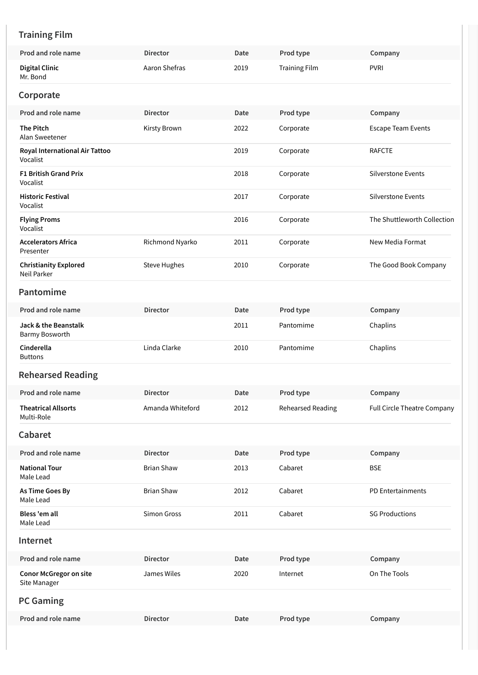# **Training Film**

| Prod and role name                            | <b>Director</b>     | Date | Prod type                | Company                     |
|-----------------------------------------------|---------------------|------|--------------------------|-----------------------------|
| <b>Digital Clinic</b><br>Mr. Bond             | Aaron Shefras       | 2019 | <b>Training Film</b>     | <b>PVRI</b>                 |
| Corporate                                     |                     |      |                          |                             |
| Prod and role name                            | <b>Director</b>     | Date | Prod type                | Company                     |
| <b>The Pitch</b><br>Alan Sweetener            | Kirsty Brown        | 2022 | Corporate                | <b>Escape Team Events</b>   |
| Royal International Air Tattoo<br>Vocalist    |                     | 2019 | Corporate                | <b>RAFCTE</b>               |
| <b>F1 British Grand Prix</b><br>Vocalist      |                     | 2018 | Corporate                | Silverstone Events          |
| <b>Historic Festival</b><br>Vocalist          |                     | 2017 | Corporate                | Silverstone Events          |
| <b>Flying Proms</b><br>Vocalist               |                     | 2016 | Corporate                | The Shuttleworth Collection |
| <b>Accelerators Africa</b><br>Presenter       | Richmond Nyarko     | 2011 | Corporate                | New Media Format            |
| <b>Christianity Explored</b><br>Neil Parker   | <b>Steve Hughes</b> | 2010 | Corporate                | The Good Book Company       |
| Pantomime                                     |                     |      |                          |                             |
| Prod and role name                            | <b>Director</b>     | Date | Prod type                | Company                     |
| Jack & the Beanstalk<br>Barmy Bosworth        |                     | 2011 | Pantomime                | Chaplins                    |
| Cinderella<br><b>Buttons</b>                  | Linda Clarke        | 2010 | Pantomime                | Chaplins                    |
| <b>Rehearsed Reading</b>                      |                     |      |                          |                             |
| Prod and role name                            | <b>Director</b>     | Date | Prod type                | Company                     |
| <b>Theatrical Allsorts</b><br>Multi-Role      | Amanda Whiteford    | 2012 | <b>Rehearsed Reading</b> | Full Circle Theatre Company |
| Cabaret                                       |                     |      |                          |                             |
| Prod and role name                            | <b>Director</b>     | Date | Prod type                | Company                     |
| <b>National Tour</b><br>Male Lead             | <b>Brian Shaw</b>   | 2013 | Cabaret                  | <b>BSE</b>                  |
| As Time Goes By<br>Male Lead                  | <b>Brian Shaw</b>   | 2012 | Cabaret                  | PD Entertainments           |
| Bless 'em all<br>Male Lead                    | Simon Gross         | 2011 | Cabaret                  | <b>SG Productions</b>       |
| Internet                                      |                     |      |                          |                             |
| Prod and role name                            | <b>Director</b>     | Date | Prod type                | Company                     |
| <b>Conor McGregor on site</b><br>Site Manager | James Wiles         | 2020 | Internet                 | On The Tools                |
| <b>PC Gaming</b>                              |                     |      |                          |                             |
|                                               |                     |      |                          |                             |
| Prod and role name                            | <b>Director</b>     | Date | Prod type                | Company                     |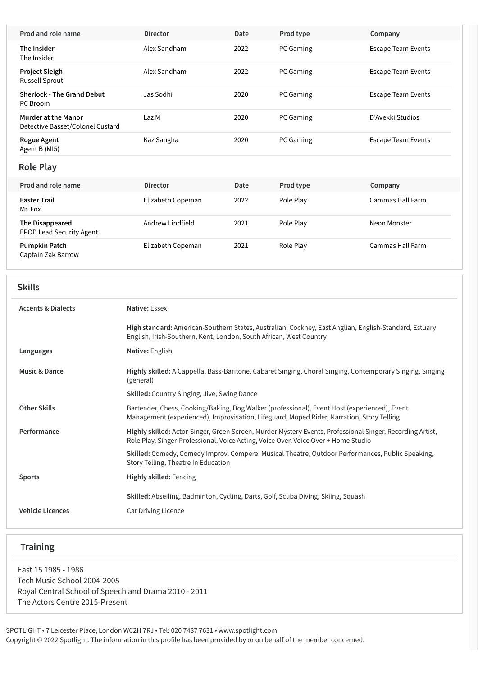| Prod and role name                                             | <b>Director</b>   | Date | Prod type | Company                   |
|----------------------------------------------------------------|-------------------|------|-----------|---------------------------|
| The Insider<br>The Insider                                     | Alex Sandham      | 2022 | PC Gaming | <b>Escape Team Events</b> |
| <b>Project Sleigh</b><br>Russell Sprout                        | Alex Sandham      | 2022 | PC Gaming | <b>Escape Team Events</b> |
| <b>Sherlock - The Grand Debut</b><br>PC Broom                  | Jas Sodhi         | 2020 | PC Gaming | <b>Escape Team Events</b> |
| <b>Murder at the Manor</b><br>Detective Basset/Colonel Custard | Laz M             | 2020 | PC Gaming | D'Avekki Studios          |
| <b>Rogue Agent</b><br>Agent B (MI5)                            | Kaz Sangha        | 2020 | PC Gaming | <b>Escape Team Events</b> |
| <b>Role Play</b>                                               |                   |      |           |                           |
| Prod and role name                                             | <b>Director</b>   | Date | Prod type | Company                   |
| <b>Easter Trail</b><br>Mr. Fox                                 | Elizabeth Copeman | 2022 | Role Play | Cammas Hall Farm          |
| <b>The Disappeared</b><br><b>EPOD Lead Security Agent</b>      | Andrew Lindfield  | 2021 | Role Play | Neon Monster              |
| <b>Pumpkin Patch</b><br>Captain Zak Barrow                     | Elizabeth Copeman | 2021 | Role Play | Cammas Hall Farm          |

| w |  |
|---|--|
|---|--|

| <b>Accents &amp; Dialects</b> | Native: Essex                                                                                                                                                                                   |
|-------------------------------|-------------------------------------------------------------------------------------------------------------------------------------------------------------------------------------------------|
|                               | High standard: American-Southern States, Australian, Cockney, East Anglian, English-Standard, Estuary<br>English, Irish-Southern, Kent, London, South African, West Country                     |
| Languages                     | Native: English                                                                                                                                                                                 |
| <b>Music &amp; Dance</b>      | Highly skilled: A Cappella, Bass-Baritone, Cabaret Singing, Choral Singing, Contemporary Singing, Singing<br>(general)                                                                          |
|                               | <b>Skilled:</b> Country Singing, Jive, Swing Dance                                                                                                                                              |
| <b>Other Skills</b>           | Bartender, Chess, Cooking/Baking, Dog Walker (professional), Event Host (experienced), Event<br>Management (experienced), Improvisation, Lifeguard, Moped Rider, Narration, Story Telling       |
| Performance                   | Highly skilled: Actor-Singer, Green Screen, Murder Mystery Events, Professional Singer, Recording Artist,<br>Role Play, Singer-Professional, Voice Acting, Voice Over, Voice Over + Home Studio |
|                               | Skilled: Comedy, Comedy Improv, Compere, Musical Theatre, Outdoor Performances, Public Speaking,<br>Story Telling, Theatre In Education                                                         |
| <b>Sports</b>                 | <b>Highly skilled: Fencing</b>                                                                                                                                                                  |
|                               | Skilled: Abseiling, Badminton, Cycling, Darts, Golf, Scuba Diving, Skiing, Squash                                                                                                               |
| <b>Vehicle Licences</b>       | Car Driving Licence                                                                                                                                                                             |

## **Training**

East 15 1985 - 1986 Tech Music School 2004-2005 Royal Central School of Speech and Drama 2010 - 2011 The Actors Centre 2015-Present